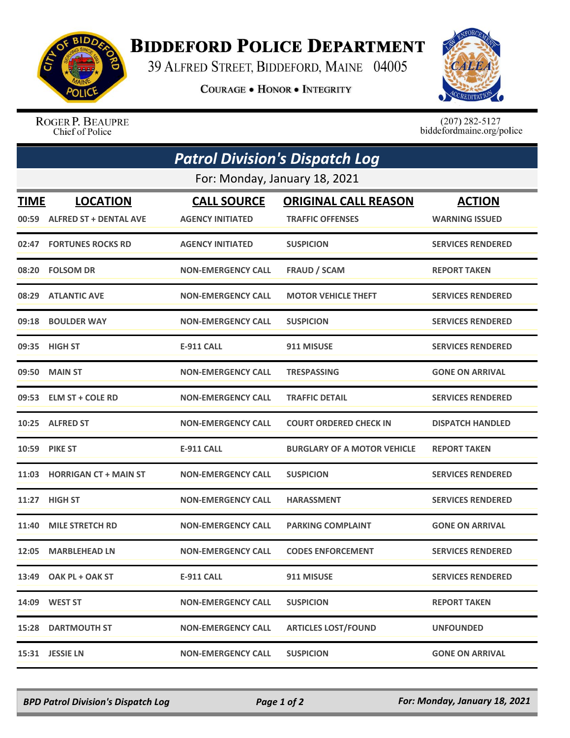

## **BIDDEFORD POLICE DEPARTMENT**

39 ALFRED STREET, BIDDEFORD, MAINE 04005

**COURAGE . HONOR . INTEGRITY** 



ROGER P. BEAUPRE Chief of Police

 $(207)$  282-5127<br>biddefordmaine.org/police

| <b>Patrol Division's Dispatch Log</b><br>For: Monday, January 18, 2021 |                              |                           |                                    |                          |  |  |
|------------------------------------------------------------------------|------------------------------|---------------------------|------------------------------------|--------------------------|--|--|
|                                                                        |                              |                           |                                    |                          |  |  |
|                                                                        | 00:59 ALFRED ST + DENTAL AVE | <b>AGENCY INITIATED</b>   | <b>TRAFFIC OFFENSES</b>            | <b>WARNING ISSUED</b>    |  |  |
| 02:47                                                                  | <b>FORTUNES ROCKS RD</b>     | <b>AGENCY INITIATED</b>   | <b>SUSPICION</b>                   | <b>SERVICES RENDERED</b> |  |  |
| 08:20                                                                  | <b>FOLSOM DR</b>             | <b>NON-EMERGENCY CALL</b> | <b>FRAUD / SCAM</b>                | <b>REPORT TAKEN</b>      |  |  |
|                                                                        | 08:29 ATLANTIC AVE           | <b>NON-EMERGENCY CALL</b> | <b>MOTOR VEHICLE THEFT</b>         | <b>SERVICES RENDERED</b> |  |  |
| 09:18                                                                  | <b>BOULDER WAY</b>           | <b>NON-EMERGENCY CALL</b> | <b>SUSPICION</b>                   | <b>SERVICES RENDERED</b> |  |  |
|                                                                        | 09:35 HIGH ST                | <b>E-911 CALL</b>         | 911 MISUSE                         | <b>SERVICES RENDERED</b> |  |  |
| 09:50                                                                  | <b>MAIN ST</b>               | <b>NON-EMERGENCY CALL</b> | <b>TRESPASSING</b>                 | <b>GONE ON ARRIVAL</b>   |  |  |
|                                                                        | 09:53 ELM ST + COLE RD       | <b>NON-EMERGENCY CALL</b> | <b>TRAFFIC DETAIL</b>              | <b>SERVICES RENDERED</b> |  |  |
|                                                                        | 10:25 ALFRED ST              | <b>NON-EMERGENCY CALL</b> | <b>COURT ORDERED CHECK IN</b>      | <b>DISPATCH HANDLED</b>  |  |  |
| 10:59                                                                  | <b>PIKE ST</b>               | <b>E-911 CALL</b>         | <b>BURGLARY OF A MOTOR VEHICLE</b> | <b>REPORT TAKEN</b>      |  |  |
|                                                                        | 11:03 HORRIGAN CT + MAIN ST  | <b>NON-EMERGENCY CALL</b> | <b>SUSPICION</b>                   | <b>SERVICES RENDERED</b> |  |  |
| 11:27                                                                  | <b>HIGH ST</b>               | <b>NON-EMERGENCY CALL</b> | <b>HARASSMENT</b>                  | <b>SERVICES RENDERED</b> |  |  |
| 11:40                                                                  | <b>MILE STRETCH RD</b>       | <b>NON-EMERGENCY CALL</b> | <b>PARKING COMPLAINT</b>           | <b>GONE ON ARRIVAL</b>   |  |  |
| 12:05                                                                  | <b>MARBLEHEAD LN</b>         | <b>NON-EMERGENCY CALL</b> | <b>CODES ENFORCEMENT</b>           | <b>SERVICES RENDERED</b> |  |  |
|                                                                        | 13:49 OAK PL + OAK ST        | E-911 CALL                | 911 MISUSE                         | <b>SERVICES RENDERED</b> |  |  |
|                                                                        | 14:09 WEST ST                | <b>NON-EMERGENCY CALL</b> | <b>SUSPICION</b>                   | <b>REPORT TAKEN</b>      |  |  |
|                                                                        | <b>15:28 DARTMOUTH ST</b>    | <b>NON-EMERGENCY CALL</b> | <b>ARTICLES LOST/FOUND</b>         | <b>UNFOUNDED</b>         |  |  |
|                                                                        | 15:31 JESSIE LN              | <b>NON-EMERGENCY CALL</b> | <b>SUSPICION</b>                   | <b>GONE ON ARRIVAL</b>   |  |  |

*BPD Patrol Division's Dispatch Log Page 1 of 2 For: Monday, January 18, 2021*